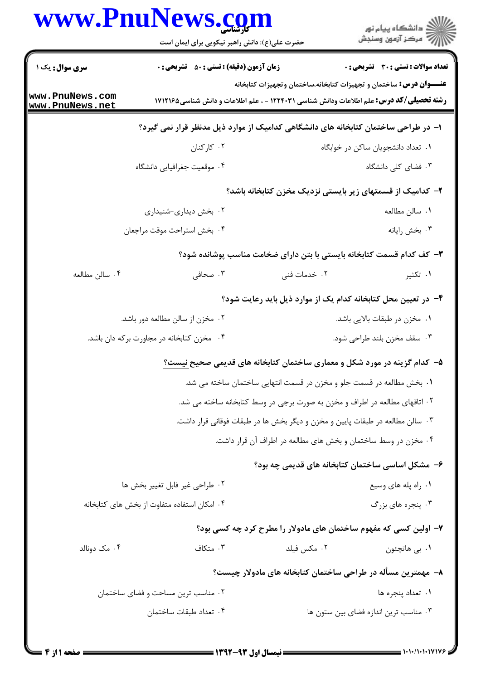| <b>سری سوال :</b> یک ۱<br>www.PnuNews.com<br>www.PnuNews.net | <b>زمان آزمون (دقیقه) : تستی : 50 ٪ تشریحی : 0</b>                                             |                                                                                 |                                              |
|--------------------------------------------------------------|------------------------------------------------------------------------------------------------|---------------------------------------------------------------------------------|----------------------------------------------|
|                                                              |                                                                                                |                                                                                 | <b>تعداد سوالات : تستی : 30 ٪ تشریحی : 0</b> |
|                                                              | <b>رشته تحصیلی/کد درس:</b> علم اطلاعات ودانش شناسی ۱۲۲۴۰۳۱ - ، علم اطلاعات و دانش شناسی1۷۱۲۱۶۵ | <b>عنـــوان درس:</b> ساختمان و تجهیزات کتابخانه،ساختمان وتجهیزات کتابخانه       |                                              |
|                                                              | ا– در طراحی ساختمان کتابخانه های دانشگاهی کدامیک از موارد ذیل مدنظر قرار <u>نمی گیرد؟</u>      |                                                                                 |                                              |
|                                                              | ۰۲ کارکنان                                                                                     |                                                                                 | ٠١ تعداد دانشجويان ساكن در خوابگاه           |
|                                                              | ۰۴ موقعیت جغرافیایی دانشگاه                                                                    |                                                                                 | ۰۳ فضای کلی دانشگاه                          |
|                                                              |                                                                                                | ۲– کدامیک از قسمتهای زیر بایستی نزدیک مخزن کتابخانه باشد؟                       |                                              |
|                                                              | ۰۲ بخش دیداری-شنیداری                                                                          |                                                                                 | ٠١ سالن مطالعه                               |
|                                                              | ۰۴ بخش استراحت موقت مراجعان                                                                    |                                                                                 | ۰۳ بخش رايانه                                |
|                                                              |                                                                                                | ۳– کف کدام قسمت کتابخانه بایستی با بتن دارای ضخامت مناسب پوشانده شود؟           |                                              |
| ۰۴ سالن مطالعه                                               | ۰۳ صحافی                                                                                       | ۰۲ خدمات فنی                                                                    | ۰۱ تکثیر                                     |
|                                                              |                                                                                                | ۴– در تعیین محل کتابخانه کدام یک از موارد ذیل باید رعایت شود؟                   |                                              |
|                                                              | ۰۲ مخزن از سالن مطالعه دور باشد.                                                               |                                                                                 | ٠١ مخزن در طبقات بالايي باشد.                |
|                                                              | ۰۴ مخزن کتابخانه در مجاورت برکه دان باشد.                                                      |                                                                                 | ۰۳ سقف مخزن بلند طراحی شود.                  |
|                                                              |                                                                                                | ۵− کدام گزینه در مورد شکل و معماری ساختمان کتابخانه های قدیمی صحیح <u>نیست؟</u> |                                              |
|                                                              |                                                                                                | ۰۱ بخش مطالعه در قسمت جلو و مخزن در قسمت انتهایی ساختمان ساخته می شد.           |                                              |
|                                                              |                                                                                                | ۰۲ اتاقهای مطالعه در اطراف و مخزن به صورت برجی در وسط کتابخانه ساخته می شد.     |                                              |
|                                                              |                                                                                                | ۰۳ سالن مطالعه در طبقات پایین و مخزن و دیگر بخش ها در طبقات فوقانی قرار داشت.   |                                              |
|                                                              |                                                                                                | ۰۴ مخزن در وسط ساختمان و بخش های مطالعه در اطراف آن قرار داشت.                  |                                              |
|                                                              |                                                                                                | ۶– مشکل اساسی ساختمان کتابخانه های قدیمی چه بود؟                                |                                              |
|                                                              | ۰۲ طراحی غیر فابل تغییر بخش ها                                                                 |                                                                                 | ۰۱ راه پله های وسیع                          |
|                                                              | ۰۴ امکان استفاده متفاوت از بخش های کتابخانه                                                    |                                                                                 | ۰۳ پنجره های بزرگ                            |
|                                                              |                                                                                                | ۷– اولین کسی که مفهوم ساختمان های مادولار را مطرح کرد چه کسی بود؟               |                                              |
| ۰۴ مک دونالد                                                 | ۰۳ متکاف                                                                                       | ۰۲ مکس فیلد                                                                     | ۰۱ بي هاتچئون                                |
|                                                              |                                                                                                | ۸– مهمترین مسأله در طراحی ساختمان کتابخانه های مادولار چیست؟                    |                                              |
|                                                              | ۰۲ مناسب ترین مساحت و فضای ساختمان                                                             |                                                                                 | ۰۱ تعداد پنجره ها                            |
|                                                              | ۰۴ تعداد طبقات ساختمان                                                                         |                                                                                 | ۰۳ مناسب ترین اندازه فضای بین ستون ها        |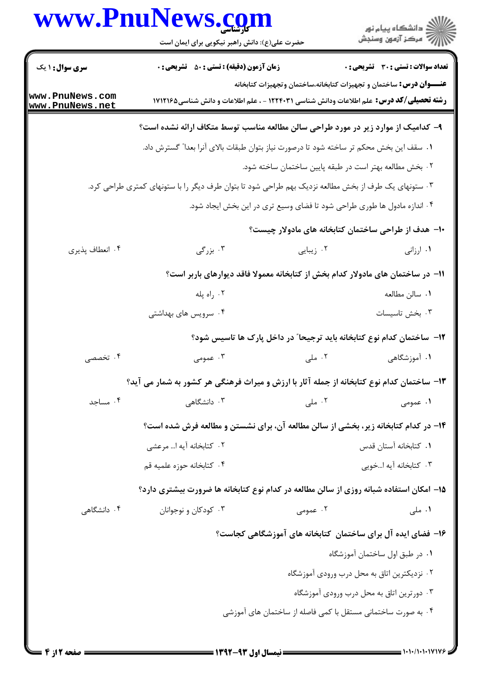|                                    | www.PnuNews.com<br>حضرت علی(ع): دانش راهبر نیکویی برای ایمان است                                     |                                                                           | ر<br>دانشڪاه پيام نور)<br>اڳ مرڪز آزمون وسنڊش |
|------------------------------------|------------------------------------------------------------------------------------------------------|---------------------------------------------------------------------------|-----------------------------------------------|
| <b>سری سوال : ۱ یک</b>             | <b>زمان آزمون (دقیقه) : تستی : 50 ٪ تشریحی : 0</b>                                                   |                                                                           | <b>تعداد سوالات : تستي : 30 ٪ تشريحي : 0</b>  |
| www.PnuNews.com<br>www.PnuNews.net | <b>رشته تحصیلی/کد درس:</b> علم اطلاعات ودانش شناسی ۱۲۲۴۰۳۱ - ، علم اطلاعات و دانش شناسی1۷۱۲۱۶۵       | <b>عنـــوان درس:</b> ساختمان و تجهیزات کتابخانه،ساختمان وتجهیزات کتابخانه |                                               |
|                                    | ۹- کدامیک از موارد زیر در مورد طراحی سالن مطالعه مناسب توسط متکاف ارائه نشده است؟                    |                                                                           |                                               |
|                                    | ٠١. سقف اين بخش محكم تر ساخته شود تا درصورت نياز بتوان طبقات بالاي آنرا بعدا" گسترش داد.             |                                                                           |                                               |
|                                    |                                                                                                      | ۰۲ بخش مطالعه بهتر است در طبقه پایین ساختمان ساخته شود.                   |                                               |
|                                    | ۰۳ ستونهای یک طرف از بخش مطالعه نزدیک بهم طراحی شود تا بتوان طرف دیگر را با ستونهای کمتری طراحی کرد. |                                                                           |                                               |
|                                    |                                                                                                      | ۰۴ اندازه مادول ها طوری طراحی شود تا فضای وسیع تری در این بخش ایجاد شود.  |                                               |
|                                    |                                                                                                      | ∙ا− هدف از طراحی ساختمان کتابخانه های مادولار چیست؟                       |                                               |
| ۰۴ انعطاف پذیری                    | ۰۳ بزرگی                                                                                             | ۰۲ زیبایی                                                                 | ۰۱ ارزانی                                     |
|                                    | 1۱– در ساختمان های مادولار کدام بخش از کتابخانه معمولا فاقد دیوارهای باربر است؟                      |                                                                           |                                               |
|                                    | ۰۲ راه پله                                                                                           |                                                                           | ۰۱ سالن مطالعه                                |
|                                    | ۰۴ سرویس های بهداشتی                                                                                 |                                                                           | ۰۳ بخش تاسیسات                                |
|                                    |                                                                                                      | ۱۲– ساختمان کدام نوع کتابخانه باید ترجیحا" در داخل پارک ها تاسیس شود؟     |                                               |
| ۰۴ تخصصی                           | ۰۳ عمومی                                                                                             | ۰۲ ملی                                                                    | ۰۱ آموزشگاهی                                  |
|                                    | ۱۳- ساختمان کدام نوع کتابخانه از جمله آثار با ارزش و میراث فرهنگی هر کشور به شمار می آید؟            |                                                                           |                                               |
| ۰۴ مساجد                           | ۰۳ دانشگاهی                                                                                          | ۰۲ ملی                                                                    | ۱. عمومی                                      |
|                                    | ۱۴- در کدام کتابخانه زیر، بخشی از سالن مطالعه آن، برای نشستن و مطالعه فرش شده است؟                   |                                                                           |                                               |
|                                    | ٢. كتابخانه آيه ا مرعشى                                                                              |                                                                           | ٠١ كتابخانه آستان قدس                         |
|                                    | ۰۴ كتابخانه حوزه علميه قم                                                                            |                                                                           | ۰۳ کتابخانه آیه اخویی                         |
|                                    | ۱۵– امکان استفاده شبانه روزی از سالن مطالعه در کدام نوع کتابخانه ها ضرورت بیشتری دارد؟               |                                                                           |                                               |
| ۰۴ دانشگاهی                        | ۰۳ کودکان و نوجوانان                                                                                 | ۰۲ عمومی                                                                  | ۰۱ ملی                                        |
|                                    |                                                                                                      | ۱۶– فضای ایده آل برای ساختمان کتابخانه های آموزشگاهی کجاست؟               |                                               |
|                                    |                                                                                                      |                                                                           | ۰۱ در طبق اول ساختمان آموزشگاه                |
|                                    |                                                                                                      | ۰۲ نزدیکترین اتاق به محل درب ورودی آموزشگاه                               |                                               |
|                                    |                                                                                                      |                                                                           | ۰۳ دورترین اتاق به محل درب ورودی آموزشگاه     |
|                                    |                                                                                                      | ۰۴ به صورت ساختمانی مستقل با کمی فاصله از ساختمان های آموزشی              |                                               |
|                                    |                                                                                                      |                                                                           |                                               |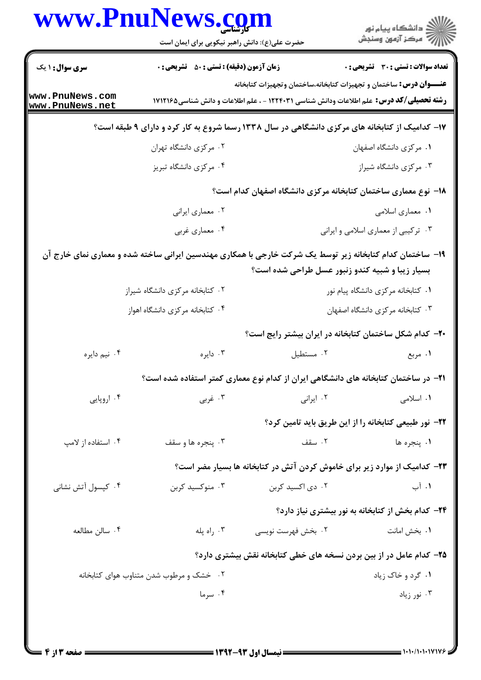|                                    | www.PnuNews.com<br>حضرت علی(ع): دانش راهبر نیکویی برای ایمان است |                                                                                                           |                                                   |  |
|------------------------------------|------------------------------------------------------------------|-----------------------------------------------------------------------------------------------------------|---------------------------------------------------|--|
| <b>سری سوال : ۱ یک</b>             | <b>زمان آزمون (دقیقه) : تستی : 50 ٪ تشریحی : 0</b>               |                                                                                                           | <b>تعداد سوالات : تستي : 30 ٪ تشريحي : 0</b>      |  |
|                                    |                                                                  | <b>عنـــوان درس:</b> ساختمان و تجهیزات کتابخانه،ساختمان وتجهیزات کتابخانه                                 |                                                   |  |
| www.PnuNews.com<br>www.PnuNews.net |                                                                  | <b>رشته تحصیلی/کد درس:</b> علم اطلاعات ودانش شناسی ۱۲۲۴۰۳۱ - ، علم اطلاعات و دانش شناسی۱۷۱۲۱۶۵            |                                                   |  |
|                                    |                                                                  | ۱۷- کدامیک از کتابخانه های مرکزی دانشگاهی در سال ۱۳۳۸ رسما شروع به کار کرد و دارای ۹ طبقه است؟            |                                                   |  |
|                                    | ۰۲ مرکزی دانشگاه تهران                                           |                                                                                                           | ٠١ مركزى دانشگاه اصفهان                           |  |
|                                    | ۰۴ مرکزی دانشگاه تبریز                                           |                                                                                                           | ۰۳ مرکزی دانشگاه شیراز                            |  |
|                                    |                                                                  | ۱۸– نوع معماری ساختمان کتابخانه مرکزی دانشگاه اصفهان کدام است؟                                            |                                                   |  |
|                                    | ۰۲ معماري ايراني                                                 |                                                                                                           | ۰۱ معماری اسلامی                                  |  |
|                                    | ۰۴ معماري غربي                                                   |                                                                                                           | ۰۳ ترکیبی از معماری اسلامی و ایرانی               |  |
|                                    |                                                                  | ۱۹- ساختمان کدام کتابخانه زیر توسط یک شرکت خارجی با همکاری مهندسین ایرانی ساخته شده و معماری نمای خارج آن |                                                   |  |
|                                    |                                                                  | بسیار زیبا و شبیه کندو زنبور عسل طراحی شده است؟                                                           |                                                   |  |
|                                    | ۰۲ کتابخانه مرکزی دانشگاه شیراز                                  |                                                                                                           | ۰۱ کتابخانه مرکزی دانشگاه پیام نور                |  |
|                                    | ۰۴ کتابخانه مرکزی دانشگاه اهواز                                  |                                                                                                           | ۰۳ کتابخانه مرکزی دانشگاه اصفهان                  |  |
|                                    |                                                                  | +۲- کدام شکل ساختمان کتابخانه در ایران بیشتر رایج است؟                                                    |                                                   |  |
| ۰۴ نیم دایره                       | ۰۳ دایره                                                         | ۰۲ مستطیل                                                                                                 | ۰۱ مربع                                           |  |
|                                    |                                                                  | <b>۲۱</b> - در ساختمان کتابخانه های دانشگاهی ایران از کدام نوع معماری کمتر استفاده شده است؟               |                                                   |  |
| ۰۴ اروپایی                         | ۰۳ غربي                                                          | ۰۲ ایرانی                                                                                                 | ۰۱ اسلامی                                         |  |
|                                    |                                                                  | <b>۲۲</b> - نور طبیعی کتابخانه را از این طریق باید تامین کرد؟                                             |                                                   |  |
| ۰۴ استفاده از لامپ                 | ۰۳ پنجره ها و سقف                                                | ۰۲ سقف                                                                                                    | ۰۱ ينجره ها                                       |  |
|                                    |                                                                  | ۲۳– کدامیک از موارد زیر برای خاموش کردن آتش در کتابخانه ها بسیار مضر است؟                                 |                                                   |  |
| ۰۴ کپسول آتش نشانی                 | ۰۳ منوکسید کربن                                                  | ۰۲ دی اکسید کربن                                                                                          | ۰۱ آب                                             |  |
|                                    |                                                                  |                                                                                                           | ۲۴- کدام بخش از کتابخانه به نور بیشتری نیاز دارد؟ |  |
| ۰۴ سالن مطالعه                     | ۰۳ راه پله                                                       | ۰۲ بخش فهرست نویسی                                                                                        | ۰۱ بخش امانت                                      |  |
|                                    |                                                                  | ۲۵- کدام عامل در از بین بردن نسخه های خطی کتابخانه نقش بیشتری دارد؟                                       |                                                   |  |
|                                    | ۰۲ خشک و مرطوب شدن متناوب هوای کتابخانه                          |                                                                                                           | ۰۱ گرد و خاک زیاد                                 |  |
|                                    | ۰۴ سرما                                                          |                                                                                                           | ۰۳ نور زیاد                                       |  |